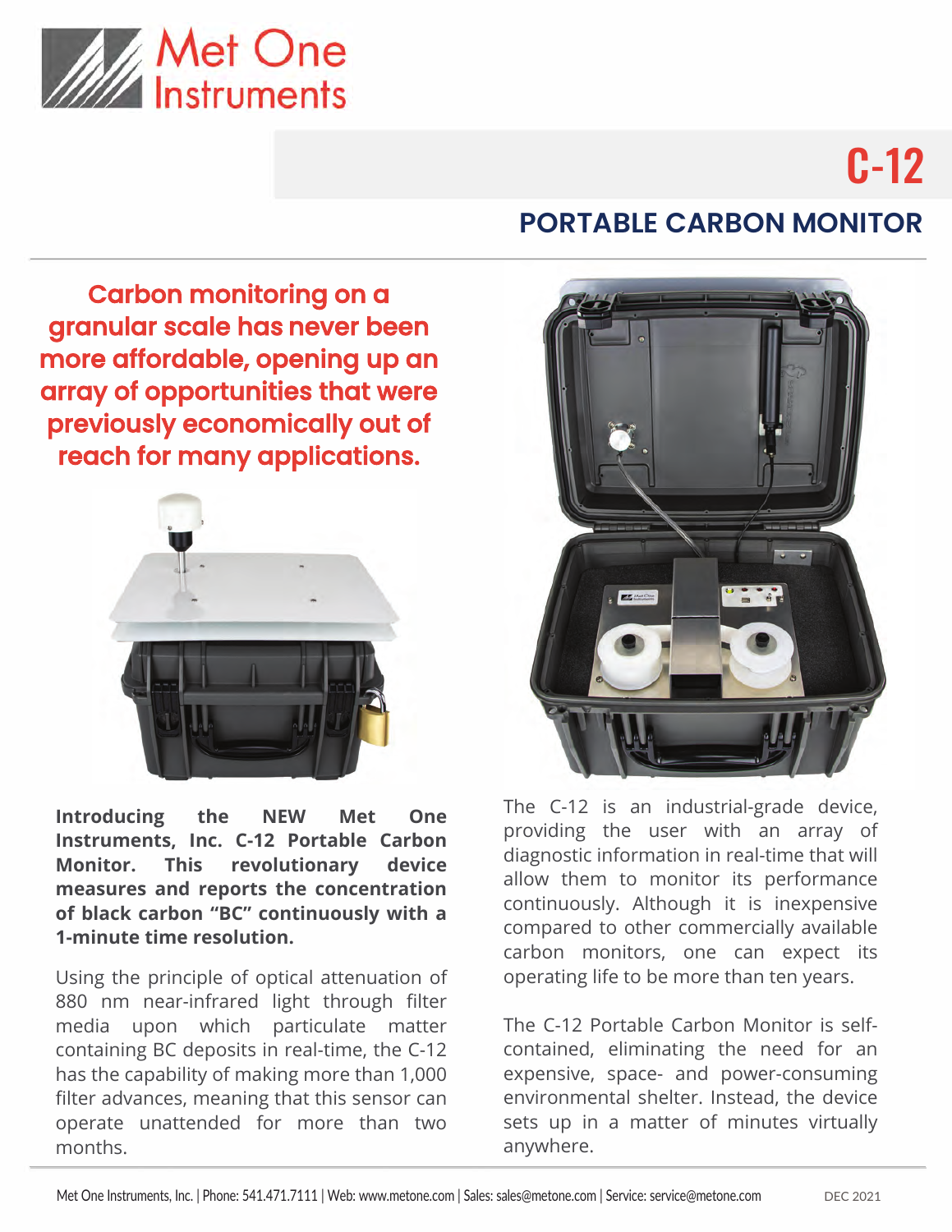

# C-12

### Carbon monitoring on a granular scale has never been more affordable, opening up an array of opportunities that were previously economically out of reach for many applications.



**Introducing the NEW Met One Instruments, Inc. C-12 Portable Carbon Monitor. This revolutionary device measures and reports the concentration of black carbon "BC" continuously with a 1-minute time resolution.**

Using the principle of optical attenuation of 880 nm near-infrared light through filter media upon which particulate matter containing BC deposits in real-time, the C-12 has the capability of making more than 1,000 filter advances, meaning that this sensor can operate unattended for more than two months.

## **PORTABLE CARBON MONITOR**



The C-12 is an industrial-grade device, providing the user with an array of diagnostic information in real-time that will allow them to monitor its performance continuously. Although it is inexpensive compared to other commercially available carbon monitors, one can expect its operating life to be more than ten years.

The C-12 Portable Carbon Monitor is selfcontained, eliminating the need for an expensive, space- and power-consuming environmental shelter. Instead, the device sets up in a matter of minutes virtually anywhere.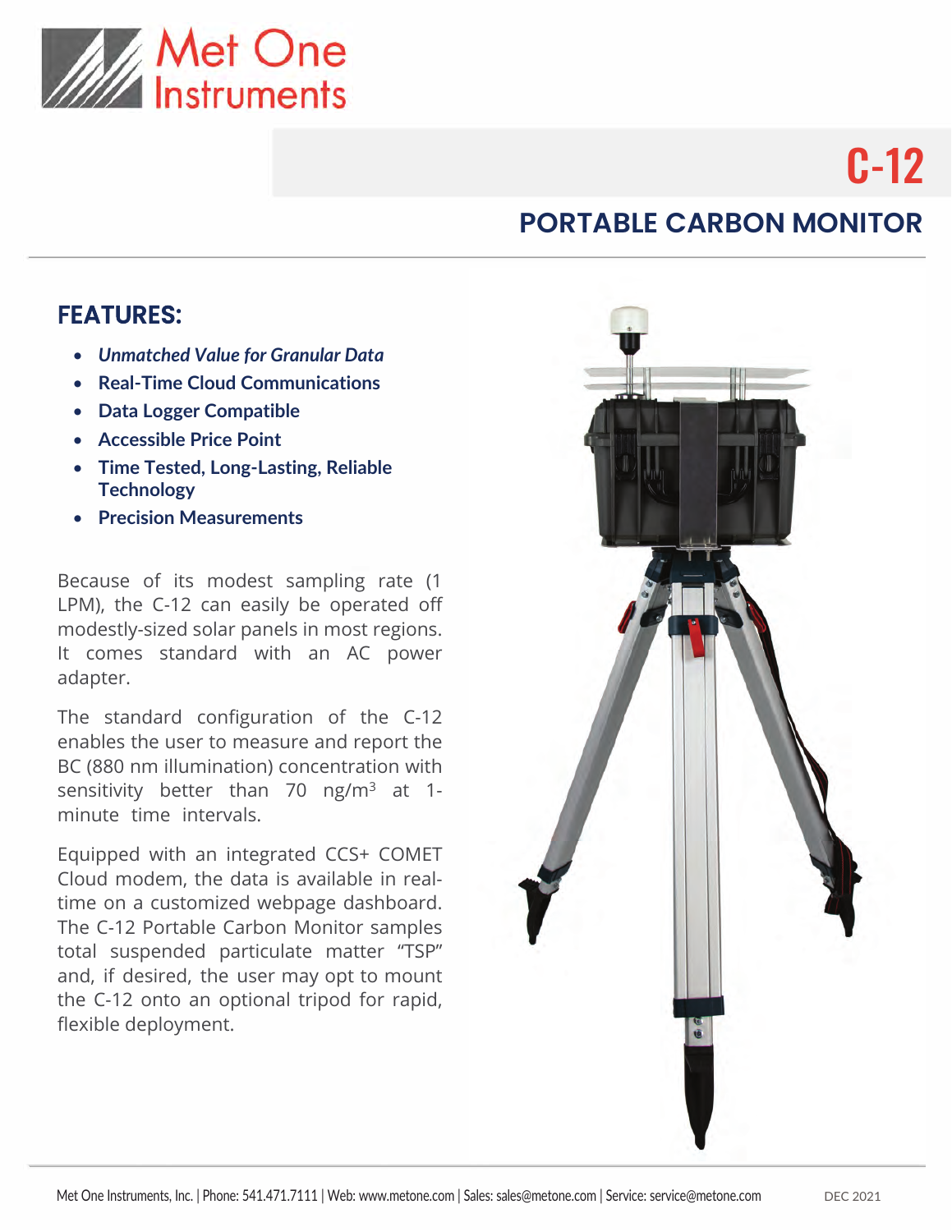

# C-12

## **PORTABLE CARBON MONITOR**

#### FEATURES:

- *Unmatched Value for Granular Data*
- **Real-Time Cloud Communications**
- **Data Logger Compatible**
- **Accessible Price Point**
- **Time Tested, Long-Lasting, Reliable Technology**
- **Precision Measurements**

Because of its modest sampling rate (1 LPM), the C-12 can easily be operated off modestly-sized solar panels in most regions. It comes standard with an AC power adapter.

The standard configuration of the C-12 enables the user to measure and report the BC (880 nm illumination) concentration with sensitivity better than 70 ng/m<sup>3</sup> at 1minute time intervals.

Equipped with an integrated CCS+ COMET Cloud modem, the data is available in realtime on a customized webpage dashboard. The C-12 Portable Carbon Monitor samples total suspended particulate matter "TSP" and, if desired, the user may opt to mount the C-12 onto an optional tripod for rapid, flexible deployment.

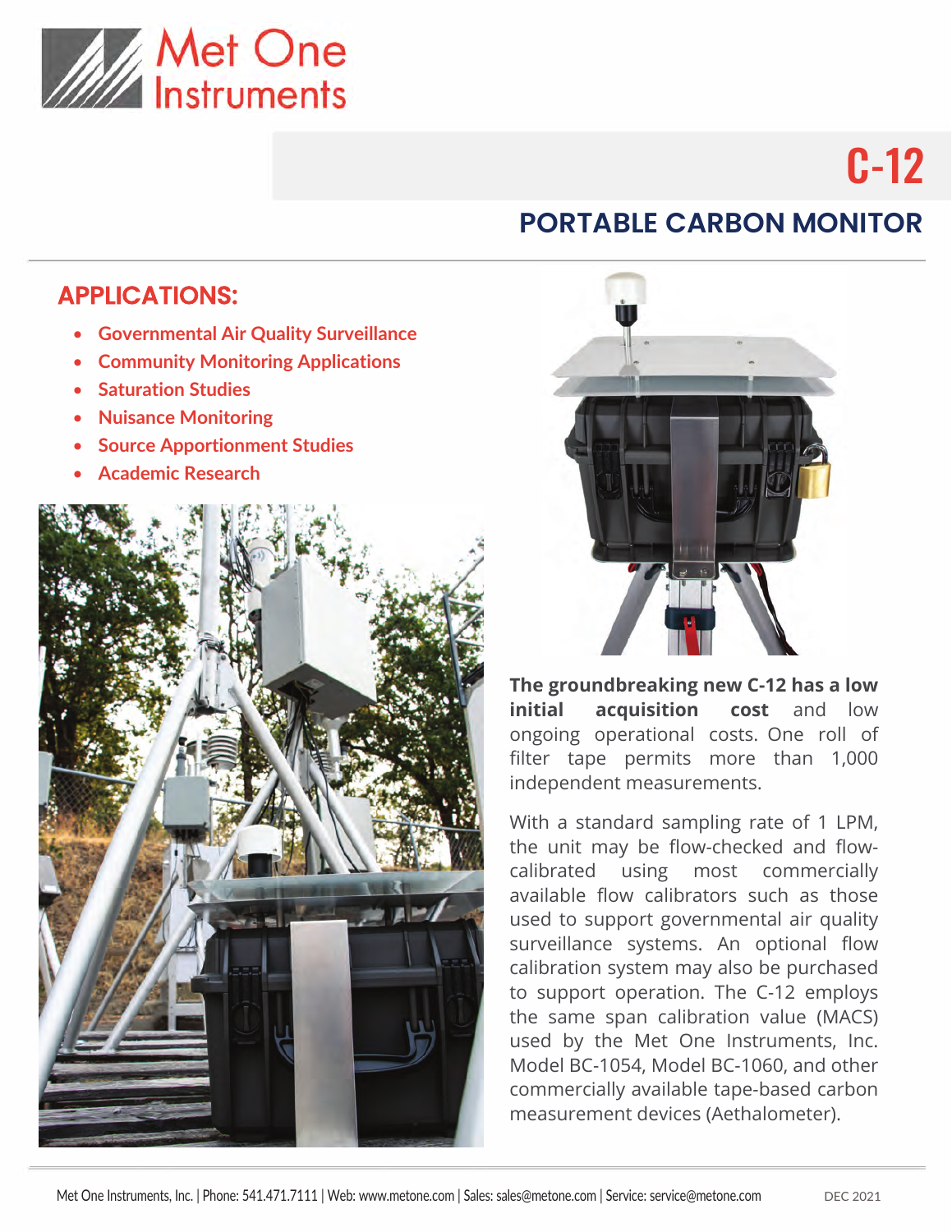

# C-12

## **PORTABLE CARBON MONITOR**

#### APPLICATIONS:

- **Governmental Air Quality Surveillance**
- **Community Monitoring Applications**
- **Saturation Studies**
- **Nuisance Monitoring**
- **Source Apportionment Studies**
- **Academic Research**





**The groundbreaking new C-12 has a low initial acquisition cost** and low ongoing operational costs. One roll of filter tape permits more than 1,000 independent measurements.

With a standard sampling rate of 1 LPM, the unit may be flow-checked and flowcalibrated using most commercially available flow calibrators such as those used to support governmental air quality surveillance systems. An optional flow calibration system may also be purchased to support operation. The C-12 employs the same span calibration value (MACS) used by the Met One Instruments, Inc. Model BC-1054, Model BC-1060, and other commercially available tape-based carbon measurement devices (Aethalometer).